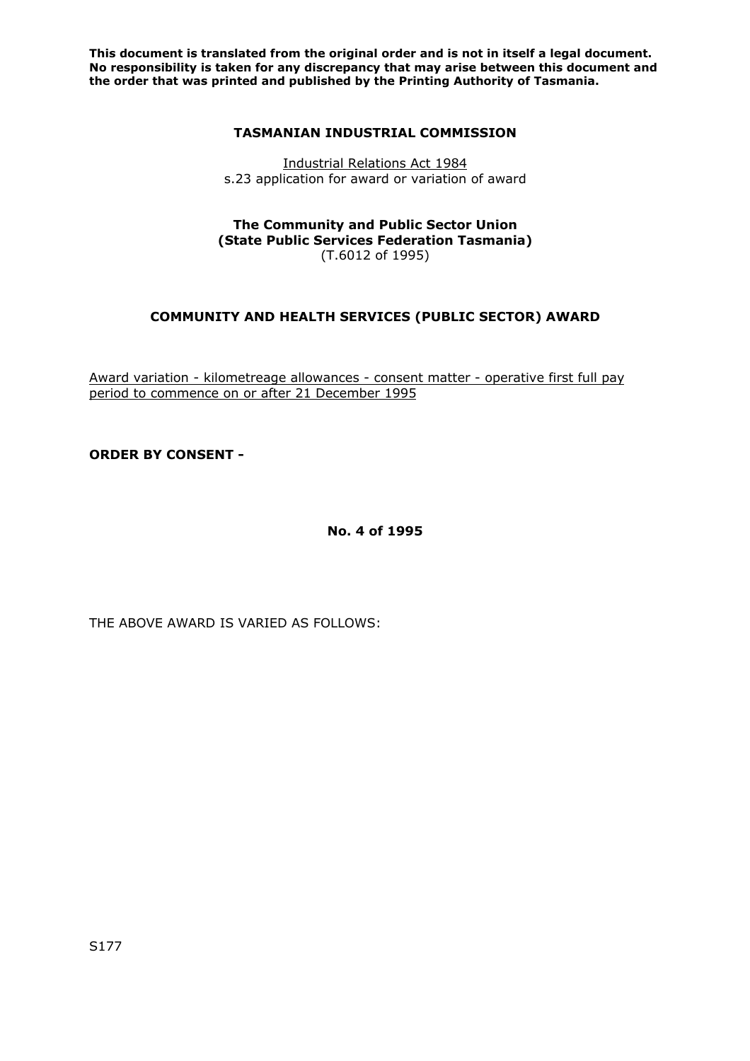**This document is translated from the original order and is not in itself a legal document. No responsibility is taken for any discrepancy that may arise between this document and the order that was printed and published by the Printing Authority of Tasmania.** 

### **TASMANIAN INDUSTRIAL COMMISSION**

Industrial Relations Act 1984 s.23 application for award or variation of award

#### **The Community and Public Sector Union (State Public Services Federation Tasmania)**  (T.6012 of 1995)

# **COMMUNITY AND HEALTH SERVICES (PUBLIC SECTOR) AWARD**

Award variation - kilometreage allowances - consent matter - operative first full pay period to commence on or after 21 December 1995

**ORDER BY CONSENT -** 

**No. 4 of 1995** 

THE ABOVE AWARD IS VARIED AS FOLLOWS: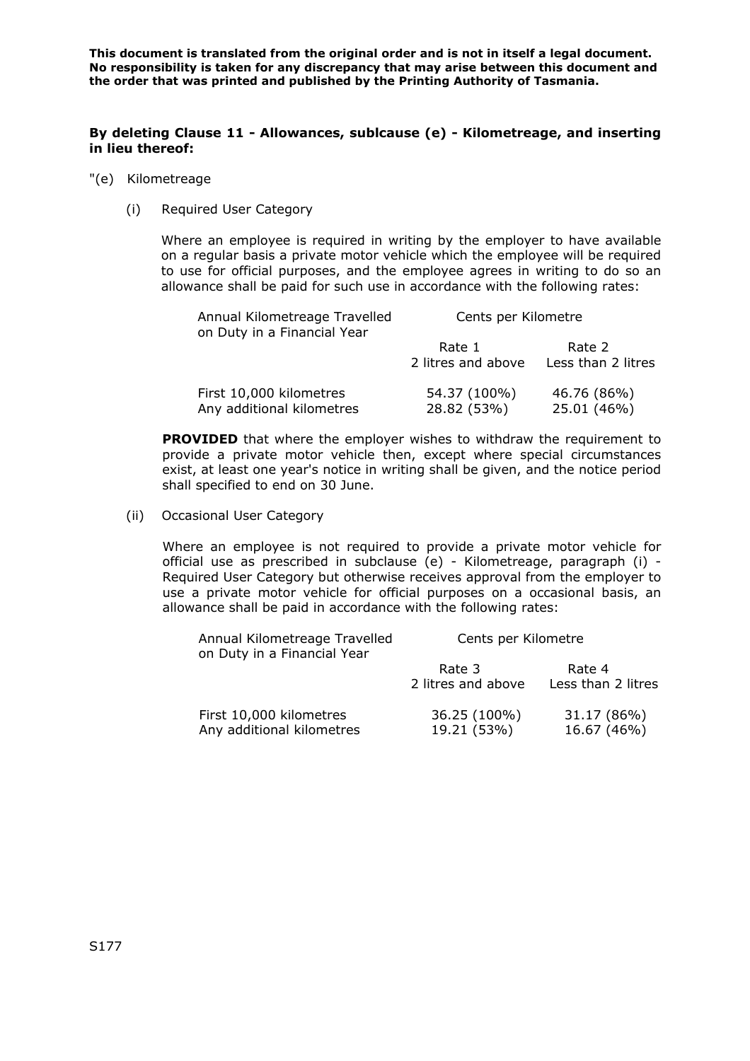**This document is translated from the original order and is not in itself a legal document. No responsibility is taken for any discrepancy that may arise between this document and the order that was printed and published by the Printing Authority of Tasmania.** 

### **By deleting Clause 11 - Allowances, sublcause (e) - Kilometreage, and inserting in lieu thereof:**

- "(e) Kilometreage
	- (i) Required User Category

Where an employee is required in writing by the employer to have available on a regular basis a private motor vehicle which the employee will be required to use for official purposes, and the employee agrees in writing to do so an allowance shall be paid for such use in accordance with the following rates:

| Annual Kilometreage Travelled<br>on Duty in a Financial Year | Cents per Kilometre         |                            |
|--------------------------------------------------------------|-----------------------------|----------------------------|
|                                                              | Rate 1                      | Rate 2                     |
|                                                              | 2 litres and above          | Less than 2 litres         |
| First 10,000 kilometres<br>Any additional kilometres         | 54.37 (100%)<br>28.82 (53%) | 46.76 (86%)<br>25.01 (46%) |

**PROVIDED** that where the employer wishes to withdraw the requirement to provide a private motor vehicle then, except where special circumstances exist, at least one year's notice in writing shall be given, and the notice period shall specified to end on 30 June.

(ii) Occasional User Category

Where an employee is not required to provide a private motor vehicle for official use as prescribed in subclause (e) - Kilometreage, paragraph (i) - Required User Category but otherwise receives approval from the employer to use a private motor vehicle for official purposes on a occasional basis, an allowance shall be paid in accordance with the following rates:

| Annual Kilometreage Travelled<br>on Duty in a Financial Year | Cents per Kilometre          |                              |
|--------------------------------------------------------------|------------------------------|------------------------------|
|                                                              | Rate 3<br>2 litres and above | Rate 4<br>Less than 2 litres |
| First 10,000 kilometres<br>Any additional kilometres         | 36.25 (100%)<br>19.21 (53%)  | 31.17 (86%)<br>16.67 (46%)   |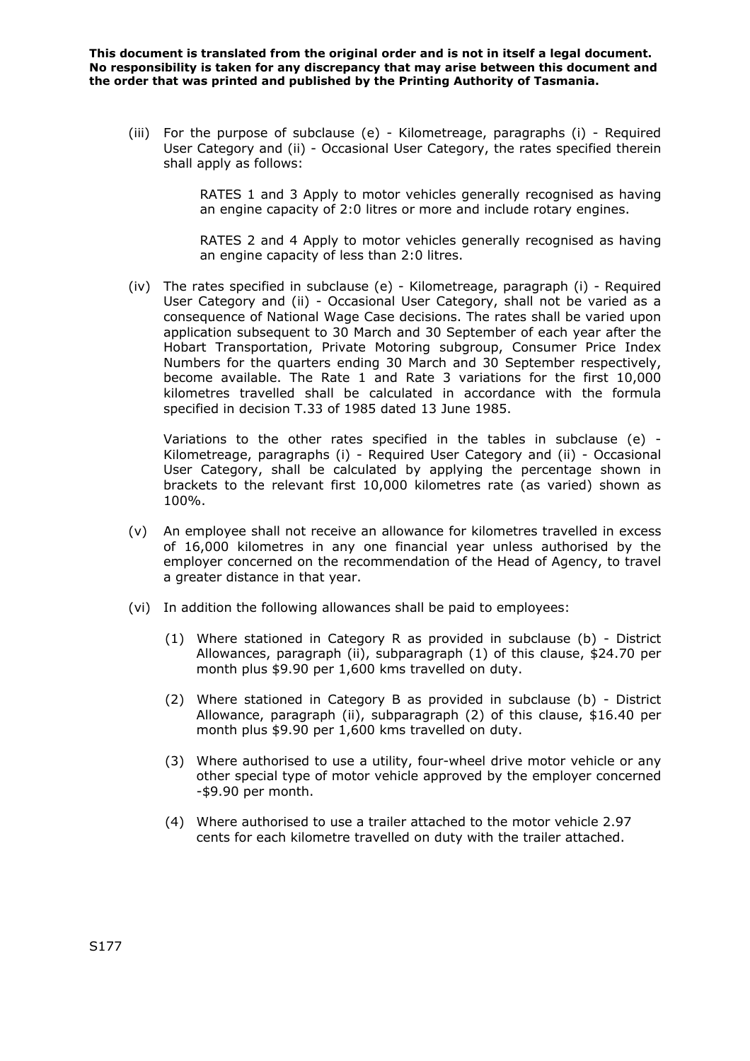**This document is translated from the original order and is not in itself a legal document. No responsibility is taken for any discrepancy that may arise between this document and the order that was printed and published by the Printing Authority of Tasmania.** 

(iii) For the purpose of subclause (e) - Kilometreage, paragraphs (i) - Required User Category and (ii) - Occasional User Category, the rates specified therein shall apply as follows:

> RATES 1 and 3 Apply to motor vehicles generally recognised as having an engine capacity of 2:0 litres or more and include rotary engines.

> RATES 2 and 4 Apply to motor vehicles generally recognised as having an engine capacity of less than 2:0 litres.

(iv) The rates specified in subclause (e) - Kilometreage, paragraph (i) - Required User Category and (ii) - Occasional User Category, shall not be varied as a consequence of National Wage Case decisions. The rates shall be varied upon application subsequent to 30 March and 30 September of each year after the Hobart Transportation, Private Motoring subgroup, Consumer Price Index Numbers for the quarters ending 30 March and 30 September respectively, become available. The Rate 1 and Rate 3 variations for the first 10,000 kilometres travelled shall be calculated in accordance with the formula specified in decision T.33 of 1985 dated 13 June 1985.

Variations to the other rates specified in the tables in subclause (e) - Kilometreage, paragraphs (i) - Required User Category and (ii) - Occasional User Category, shall be calculated by applying the percentage shown in brackets to the relevant first 10,000 kilometres rate (as varied) shown as 100%.

- (v) An employee shall not receive an allowance for kilometres travelled in excess of 16,000 kilometres in any one financial year unless authorised by the employer concerned on the recommendation of the Head of Agency, to travel a greater distance in that year.
- (vi) In addition the following allowances shall be paid to employees:
	- (1) Where stationed in Category R as provided in subclause (b) District Allowances, paragraph (ii), subparagraph (1) of this clause, \$24.70 per month plus \$9.90 per 1,600 kms travelled on duty.
	- (2) Where stationed in Category B as provided in subclause (b) District Allowance, paragraph (ii), subparagraph (2) of this clause, \$16.40 per month plus \$9.90 per 1,600 kms travelled on duty.
	- (3) Where authorised to use a utility, four-wheel drive motor vehicle or any other special type of motor vehicle approved by the employer concerned -\$9.90 per month.
	- (4) Where authorised to use a trailer attached to the motor vehicle 2.97 cents for each kilometre travelled on duty with the trailer attached.